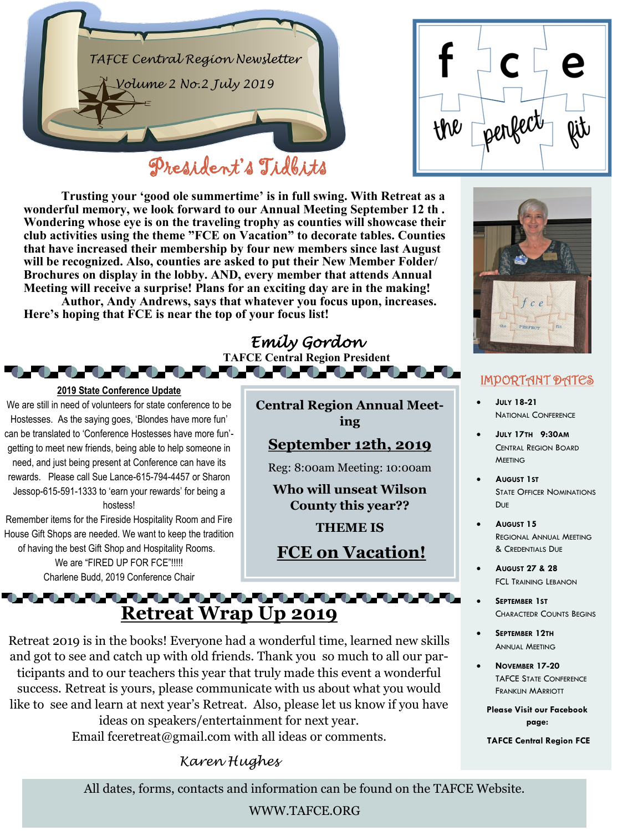



**Trusting your 'good ole summertime' is in full swing. With Retreat as a wonderful memory, we look forward to our Annual Meeting September 12 th . Wondering whose eye is on the traveling trophy as counties will showcase their club activities using the theme "FCE on Vacation" to decorate tables. Counties that have increased their membership by four new members since last August will be recognized. Also, counties are asked to put their New Member Folder/ Brochures on display in the lobby. AND, every member that attends Annual Meeting will receive a surprise! Plans for an exciting day are in the making!**

**Author, Andy Andrews, says that whatever you focus upon, increases. Here's hoping that FCE is near the top of your focus list!**

#### *Emily Gordon*  **TAFCE Central Region President**



#### IMPORTANT DATES

- **JULY 18-21**  NATIONAL CONFERENCE
- **JULY 17TH 9:30AM**  CENTRAL REGION BOARD **MEETING**
- **AUGUST 1ST**  STATE OFFICER NOMINATIONS DUE
- **AUGUST 15**  REGIONAL ANNUAL MEETING & CREDENTIALS DUE
- **AUGUST 27 & 28**  FCL TRAINING LEBANON
- **SEPTEMBER 1ST**  CHARACTEDR COUNTS BEGINS
- **SEPTEMBER 12TH**  ANNUAL MEETING
- **NOVEMBER 17-20**  TAFCE STATE CONFERENCE FRANKLIN MARRIOTT

**Please Visit our Facebook page:**

**TAFCE Central Region FCE**

**2019 State Conference Update** We are still in need of volunteers for state conference to be Hostesses. As the saying goes, 'Blondes have more fun' can be translated to 'Conference Hostesses have more fun' getting to meet new friends, being able to help someone in need, and just being present at Conference can have its rewards. Please call Sue Lance-615-794-4457 or Sharon Jessop-615-591-1333 to 'earn your rewards' for being a hostess!

**. . . . . . .** 

Remember items for the Fireside Hospitality Room and Fire House Gift Shops are needed. We want to keep the tradition of having the best Gift Shop and Hospitality Rooms.

We are "FIRED UP FOR FCE"!!!!! Charlene Budd, 2019 Conference Chair

# **Central Region Annual Meeting**

## **September 12th, 2019**

Reg: 8:00am Meeting: 10:00am

**Who will unseat Wilson County this year??** 

**THEME IS**

**FCE on Vacation!** 

### , את המיוחד המיוחד המיוחד המיוחד המיוחד המיוחד המיוחד המיוחד. **Retreat Wrap Up 2019**

Retreat 2019 is in the books! Everyone had a wonderful time, learned new skills and got to see and catch up with old friends. Thank you so much to all our participants and to our teachers this year that truly made this event a wonderful success. Retreat is yours, please communicate with us about what you would like to see and learn at next year's Retreat. Also, please let us know if you have ideas on speakers/entertainment for next year.

Email fceretreat@gmail.com with all ideas or comments.

*Karen Hughes*

All dates, forms, contacts and information can be found on the TAFCE Website.

WWW.TAFCE.ORG